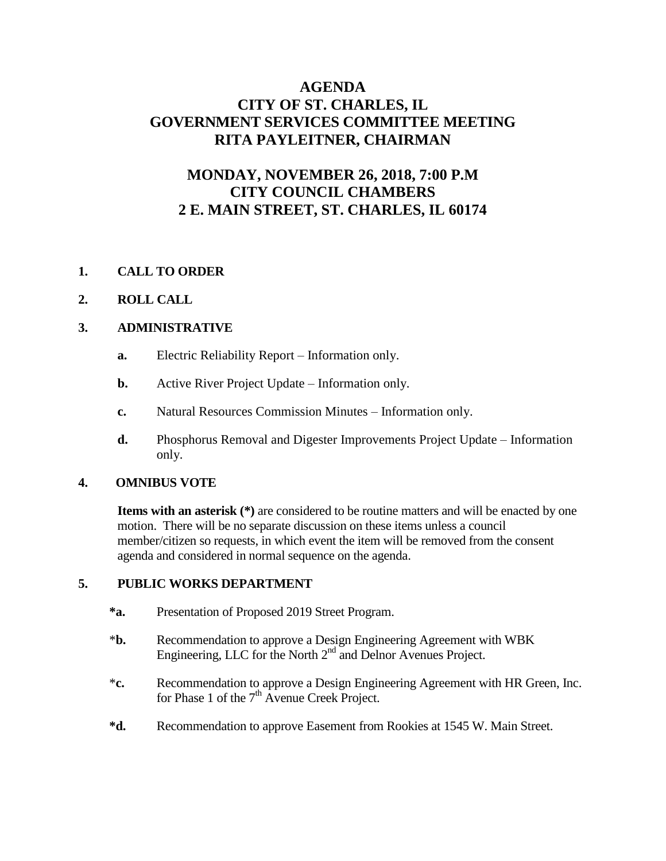# **AGENDA CITY OF ST. CHARLES, IL GOVERNMENT SERVICES COMMITTEE MEETING RITA PAYLEITNER, CHAIRMAN**

# **MONDAY, NOVEMBER 26, 2018, 7:00 P.M CITY COUNCIL CHAMBERS 2 E. MAIN STREET, ST. CHARLES, IL 60174**

## **1. CALL TO ORDER**

#### **2. ROLL CALL**

#### **3. ADMINISTRATIVE**

- **a.** Electric Reliability Report Information only.
- **b.** Active River Project Update Information only.
- **c.** Natural Resources Commission Minutes Information only.
- **d.** Phosphorus Removal and Digester Improvements Project Update Information only.

#### **4. OMNIBUS VOTE**

**Items with an asterisk (\*)** are considered to be routine matters and will be enacted by one motion. There will be no separate discussion on these items unless a council member/citizen so requests, in which event the item will be removed from the consent agenda and considered in normal sequence on the agenda.

#### **5. PUBLIC WORKS DEPARTMENT**

- **\*a.** Presentation of Proposed 2019 Street Program.
- \***b.** Recommendation to approve a Design Engineering Agreement with WBK Engineering, LLC for the North  $2<sup>nd</sup>$  and Delnor Avenues Project.
- \***c.** Recommendation to approve a Design Engineering Agreement with HR Green, Inc. for Phase 1 of the  $7<sup>th</sup>$  Avenue Creek Project.
- **\*d.** Recommendation to approve Easement from Rookies at 1545 W. Main Street.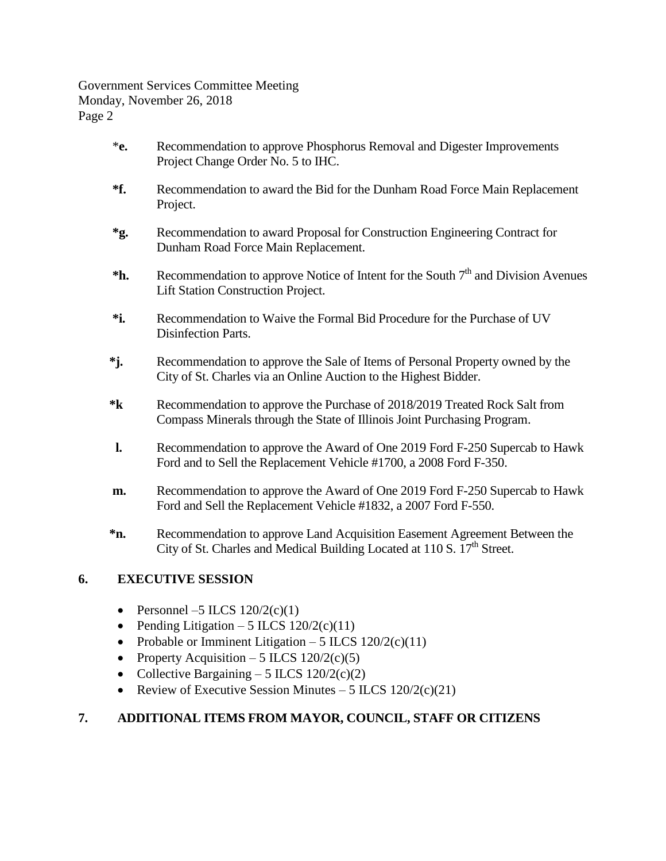Government Services Committee Meeting Monday, November 26, 2018 Page 2

- \***e.** Recommendation to approve Phosphorus Removal and Digester Improvements Project Change Order No. 5 to IHC.
- **\*f.** Recommendation to award the Bid for the Dunham Road Force Main Replacement Project.
- **\*g.** Recommendation to award Proposal for Construction Engineering Contract for Dunham Road Force Main Replacement.
- <sup>\*</sup>**h.** Recommendation to approve Notice of Intent for the South 7<sup>th</sup> and Division Avenues Lift Station Construction Project.
	- **\*i.** Recommendation to Waive the Formal Bid Procedure for the Purchase of UV Disinfection Parts.
	- **\*j.** Recommendation to approve the Sale of Items of Personal Property owned by the City of St. Charles via an Online Auction to the Highest Bidder.
	- **\*k** Recommendation to approve the Purchase of 2018/2019 Treated Rock Salt from Compass Minerals through the State of Illinois Joint Purchasing Program.
	- **l.** Recommendation to approve the Award of One 2019 Ford F-250 Supercab to Hawk Ford and to Sell the Replacement Vehicle #1700, a 2008 Ford F-350.
	- **m.** Recommendation to approve the Award of One 2019 Ford F-250 Supercab to Hawk Ford and Sell the Replacement Vehicle #1832, a 2007 Ford F-550.
	- **\*n.** Recommendation to approve Land Acquisition Easement Agreement Between the City of St. Charles and Medical Building Located at 110 S. 17<sup>th</sup> Street.

# **6. EXECUTIVE SESSION**

- Personnel –5 ILCS  $120/2(c)(1)$
- Pending Litigation 5 ILCS  $120/2(c)(11)$
- Probable or Imminent Litigation 5 ILCS  $120/2(c)(11)$
- Property Acquisition 5 ILCS  $120/2(c)(5)$
- Collective Bargaining 5 ILCS  $120/2(c)(2)$
- Review of Executive Session Minutes 5 ILCS  $120/2(c)(21)$

## **7. ADDITIONAL ITEMS FROM MAYOR, COUNCIL, STAFF OR CITIZENS**